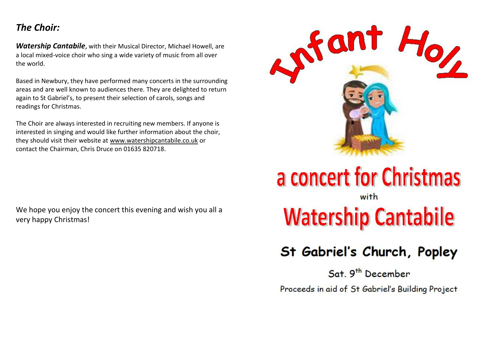### *The Choir:*

*Watership Cantabile*, with their Musical Director, Michael Howell, are a local mixed-voice choir who sing a wide variety of music from all over the world.

Based in Newbury, they have performed many concerts in the surrounding areas and are well known to audiences there. They are delighted to return again to St Gabriel's, to present their selection of carols, songs and readings for Christmas.

The Choir are always interested in recruiting new members. If anyone is interested in singing and would like further information about the choir, they should visit their website at [www.watershipcantabile.co.uk](http://www.watershipcantabile.co.uk/) or contact the Chairman, Chris Druce on 01635 820718.

We hope you enjoy the concert this evening and wish you all a very happy Christmas!



## a concert for Christmas with

# **Watership Cantabile**

### St Gabriel's Church, Popley

Sat. 9<sup>th</sup> December

Proceeds in aid of St Gabriel's Building Project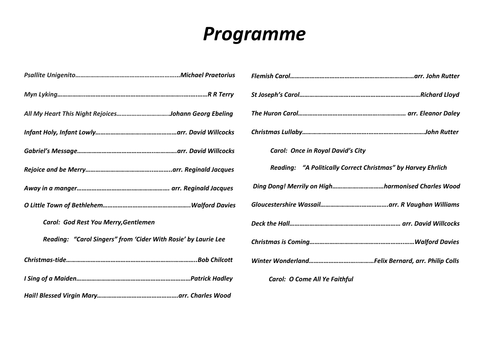# *Programme*

| All My Heart This Night RejoicesJohann Georg Ebeling           |
|----------------------------------------------------------------|
|                                                                |
|                                                                |
|                                                                |
|                                                                |
|                                                                |
| Carol: God Rest You Merry, Gentlemen                           |
| Reading: "Carol Singers" from 'Cider With Rosie' by Laurie Lee |
|                                                                |
|                                                                |
|                                                                |

| Carol: Once in Royal David's City                            |
|--------------------------------------------------------------|
| Reading: "A Politically Correct Christmas" by Harvey Ehrlich |
| Ding Dong! Merrily on Highharmonised Charles Wood            |
|                                                              |
|                                                              |
|                                                              |
|                                                              |
| Carol: O Come All Ye Faithful                                |